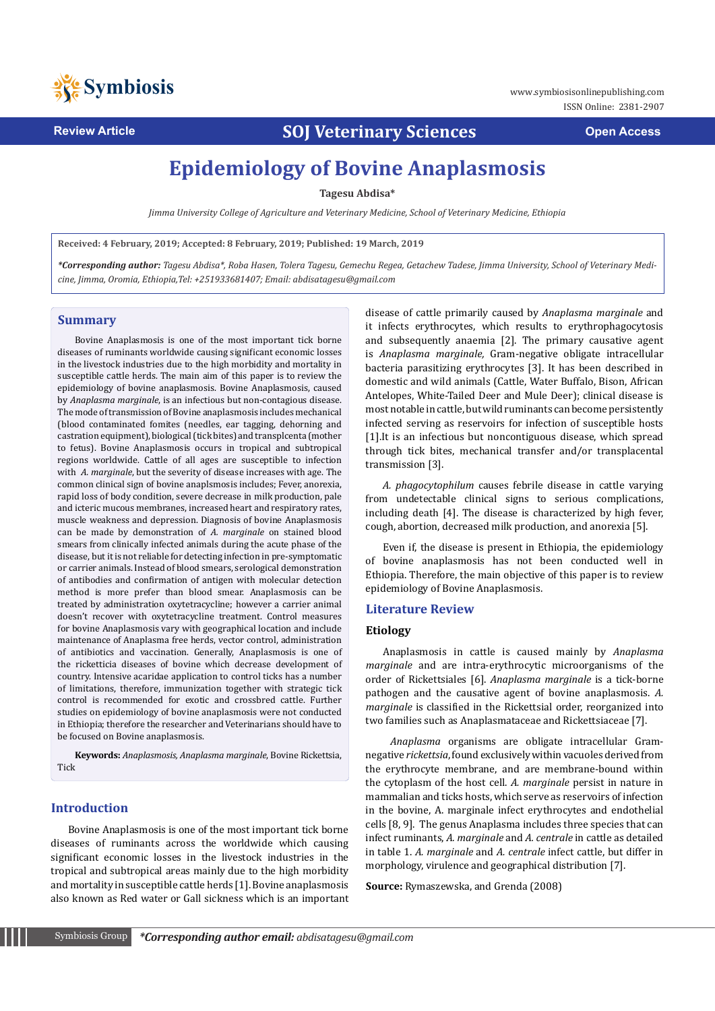

**Review Article SOJ Veterinary Sciences Open Access**

# **Epidemiology of Bovine Anaplasmosis**

**Tagesu Abdisa\***

*Jimma University College of Agriculture and Veterinary Medicine, School of Veterinary Medicine, Ethiopia* 

**Received: 4 February, 2019; Accepted: 8 February, 2019; Published: 19 March, 2019**

*\*Corresponding author: Tagesu Abdisa\*, Roba Hasen, Tolera Tagesu, Gemechu Regea, Getachew Tadese, Jimma University, School of Veterinary Medicine, Jimma, Oromia, Ethiopia,Tel: +251933681407; Email: abdisatagesu@gmail.com* 

#### **Summary**

Bovine Anaplasmosis is one of the most important tick borne diseases of ruminants worldwide causing significant economic losses in the livestock industries due to the high morbidity and mortality in susceptible cattle herds. The main aim of this paper is to review the epidemiology of bovine anaplasmosis. Bovine Anaplasmosis, caused by *Anaplasma marginale*, is an infectious but non-contagious disease. The mode of transmission of Bovine anaplasmosis includes mechanical (blood contaminated fomites (needles, ear tagging, dehorning and castration equipment), biological (tick bites) and transplcenta (mother to fetus). Bovine Anaplasmosis occurs in tropical and subtropical regions worldwide. Cattle of all ages are susceptible to infection with *A. marginale*, but the severity of disease increases with age. The common clinical sign of bovine anaplsmosis includes; Fever, anorexia, rapid loss of body condition, severe decrease in milk production, pale and icteric mucous membranes, increased heart and respiratory rates, muscle weakness and depression. Diagnosis of bovine Anaplasmosis can be made by demonstration of *A. marginale* on stained blood smears from clinically infected animals during the acute phase of the disease, but it is not reliable for detecting infection in pre-symptomatic or carrier animals. Instead of blood smears, serological demonstration of antibodies and confirmation of antigen with molecular detection method is more prefer than blood smear. Anaplasmosis can be treated by administration oxytetracycline; however a carrier animal doesn't recover with oxytetracycline treatment. Control measures for bovine Anaplasmosis vary with geographical location and include maintenance of Anaplasma free herds, vector control, administration of antibiotics and vaccination. Generally, Anaplasmosis is one of the ricketticia diseases of bovine which decrease development of country. Intensive acaridae application to control ticks has a number of limitations, therefore, immunization together with strategic tick control is recommended for exotic and crossbred cattle. Further studies on epidemiology of bovine anaplasmosis were not conducted in Ethiopia; therefore the researcher and Veterinarians should have to be focused on Bovine anaplasmosis.

**Keywords:** *Anaplasmosis, Anaplasma marginale*, Bovine Rickettsia, Tick

## **Introduction**

Bovine Anaplasmosis is one of the most important tick borne diseases of ruminants across the worldwide which causing significant economic losses in the livestock industries in the tropical and subtropical areas mainly due to the high morbidity and mortality in susceptible cattle herds [1]. Bovine anaplasmosis also known as Red water or Gall sickness which is an important

disease of cattle primarily caused by *Anaplasma marginale* and it infects erythrocytes, which results to erythrophagocytosis and subsequently anaemia [2]. The primary causative agent is *Anaplasma marginale,* Gram-negative obligate intracellular bacteria parasitizing erythrocytes [3]. It has been described in domestic and wild animals (Cattle, Water Buffalo, Bison, African Antelopes, White-Tailed Deer and Mule Deer); clinical disease is most notable in cattle, but wild ruminants can become persistently infected serving as reservoirs for infection of susceptible hosts [1].It is an infectious but noncontiguous disease, which spread through tick bites, mechanical transfer and/or transplacental transmission [3].

*A. phagocytophilum* causes febrile disease in cattle varying from undetectable clinical signs to serious complications, including death [4]. The disease is characterized by high fever, cough, abortion, decreased milk production, and anorexia [5].

Even if, the disease is present in Ethiopia, the epidemiology of bovine anaplasmosis has not been conducted well in Ethiopia. Therefore, the main objective of this paper is to review epidemiology of Bovine Anaplasmosis.

## **Literature Review**

## **Etiology**

Anaplasmosis in cattle is caused mainly by *Anaplasma marginale* and are intra-erythrocytic microorganisms of the order of Rickettsiales [6]. *Anaplasma marginale* is a tick-borne pathogen and the causative agent of bovine anaplasmosis. *A. marginale* is classified in the Rickettsial order, reorganized into two families such as Anaplasmataceae and Rickettsiaceae [7].

*Anaplasma* organisms are obligate intracellular Gramnegative *rickettsia*, found exclusively within vacuoles derived from the erythrocyte membrane, and are membrane-bound within the cytoplasm of the host cell. *A. marginale* persist in nature in mammalian and ticks hosts, which serve as reservoirs of infection in the bovine, A. marginale infect erythrocytes and endothelial cells [8, 9]. The genus Anaplasma includes three species that can infect ruminants, *A. marginale* and *A. centrale* in cattle as detailed in table 1. *A. marginale* and *A. centrale* infect cattle, but differ in morphology, virulence and geographical distribution [7].

**Source:** Rymaszewska, and Grenda (2008)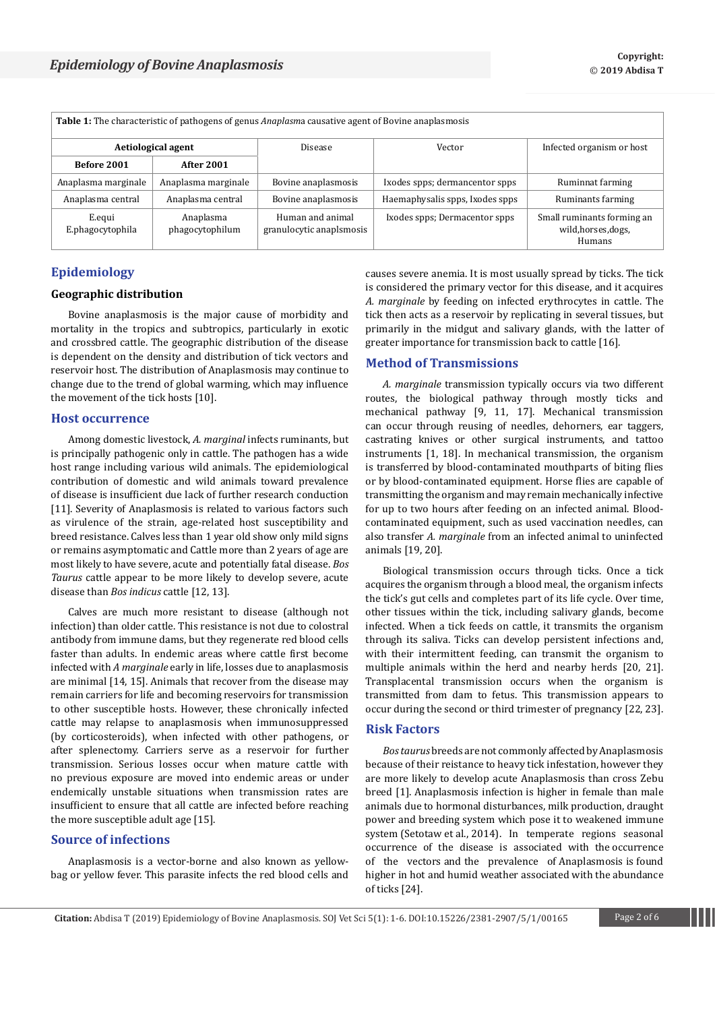| <b>Table 1:</b> The characteristic of pathogens of genus <i>Anaplasma</i> causative agent of Bovine anaplasmosis |                              |                                              |                                 |                                                             |
|------------------------------------------------------------------------------------------------------------------|------------------------------|----------------------------------------------|---------------------------------|-------------------------------------------------------------|
| Aetiological agent                                                                                               |                              | Disease                                      | Vector                          | Infected organism or host                                   |
| Before 2001                                                                                                      | <b>After 2001</b>            |                                              |                                 |                                                             |
| Anaplasma marginale                                                                                              | Anaplasma marginale          | Bovine anaplasmosis                          | Ixodes spps; dermancentor spps  | Ruminnat farming                                            |
| Anaplasma central                                                                                                | Anaplasma central            | Bovine anaplasmosis                          | Haemaphysalis spps, Ixodes spps | Ruminants farming                                           |
| E.equi<br>E.phagocytophila                                                                                       | Anaplasma<br>phagocytophilum | Human and animal<br>granulocytic anaplsmosis | Ixodes spps; Dermacentor spps   | Small ruminants forming an<br>wild, horses, dogs,<br>Humans |

# **Epidemiology**

# **Geographic distribution**

Bovine anaplasmosis is the major cause of morbidity and mortality in the tropics and subtropics, particularly in exotic and crossbred cattle. The geographic distribution of the disease is dependent on the density and distribution of tick vectors and reservoir host. The distribution of Anaplasmosis may continue to change due to the trend of global warming, which may influence the movement of the tick hosts [10].

### **Host occurrence**

Among domestic livestock, *A. marginal* infects ruminants, but is principally pathogenic only in cattle. The pathogen has a wide host range including various wild animals. The epidemiological contribution of domestic and wild animals toward prevalence of disease is insufficient due lack of further research conduction [11]. Severity of Anaplasmosis is related to various factors such as virulence of the strain, age-related host susceptibility and breed resistance. Calves less than 1 year old show only mild signs or remains asymptomatic and Cattle more than 2 years of age are most likely to have severe, acute and potentially fatal disease. *Bos Taurus* cattle appear to be more likely to develop severe, acute disease than *Bos indicus* cattle [12, 13].

Calves are much more resistant to disease (although not infection) than older cattle. This resistance is not due to colostral antibody from immune dams, but they regenerate red blood cells faster than adults. In endemic areas where cattle first become infected with *A marginale* early in life, losses due to anaplasmosis are minimal [14, 15]. Animals that recover from the disease may remain carriers for life and becoming reservoirs for transmission to other susceptible hosts. However, these chronically infected cattle may relapse to anaplasmosis when immunosuppressed (by corticosteroids), when infected with other pathogens, or after splenectomy. Carriers serve as a reservoir for further transmission. Serious losses occur when mature cattle with no previous exposure are moved into endemic areas or under endemically unstable situations when transmission rates are insufficient to ensure that all cattle are infected before reaching the more susceptible adult age [15].

# **Source of infections**

Anaplasmosis is a vector-borne and also known as yellowbag or yellow fever. This parasite infects the red blood cells and causes severe anemia. It is most usually spread by ticks. The tick is considered the primary vector for this disease, and it acquires *A. marginale* by feeding on infected erythrocytes in cattle. The tick then acts as a reservoir by replicating in several tissues, but primarily in the midgut and salivary glands, with the latter of greater importance for transmission back to cattle [16].

# **Method of Transmissions**

*A. marginale* transmission typically occurs via two different routes, the biological pathway through mostly ticks and mechanical pathway [9, 11, 17]. Mechanical transmission can occur through reusing of needles, dehorners, ear taggers, castrating knives or other surgical instruments, and tattoo instruments [1, 18]. In mechanical transmission, the organism is transferred by blood-contaminated mouthparts of biting flies or by blood-contaminated equipment. Horse flies are capable of transmitting the organism and may remain mechanically infective for up to two hours after feeding on an infected animal. Bloodcontaminated equipment, such as used vaccination needles, can also transfer *A. marginale* from an infected animal to uninfected animals [19, 20].

Biological transmission occurs through ticks. Once a tick acquires the organism through a blood meal, the organism infects the tick's gut cells and completes part of its life cycle. Over time, other tissues within the tick, including salivary glands, become infected. When a tick feeds on cattle, it transmits the organism through its saliva. Ticks can develop persistent infections and, with their intermittent feeding, can transmit the organism to multiple animals within the herd and nearby herds [20, 21]. Transplacental transmission occurs when the organism is transmitted from dam to fetus. This transmission appears to occur during the second or third trimester of pregnancy [22, 23].

# **Risk Factors**

*Bos taurus* breeds are not commonly affected by Anaplasmosis because of their reistance to heavy tick infestation, however they are more likely to develop acute Anaplasmosis than cross Zebu breed [1]. Anaplasmosis infection is higher in female than male animals due to hormonal disturbances, milk production, draught power and breeding system which pose it to weakened immune system (Setotaw et al., 2014). In temperate regions seasonal occurrence of the disease is associated with the occurrence of the vectors and the prevalence of Anaplasmosis is found higher in hot and humid weather associated with the abundance of ticks [24].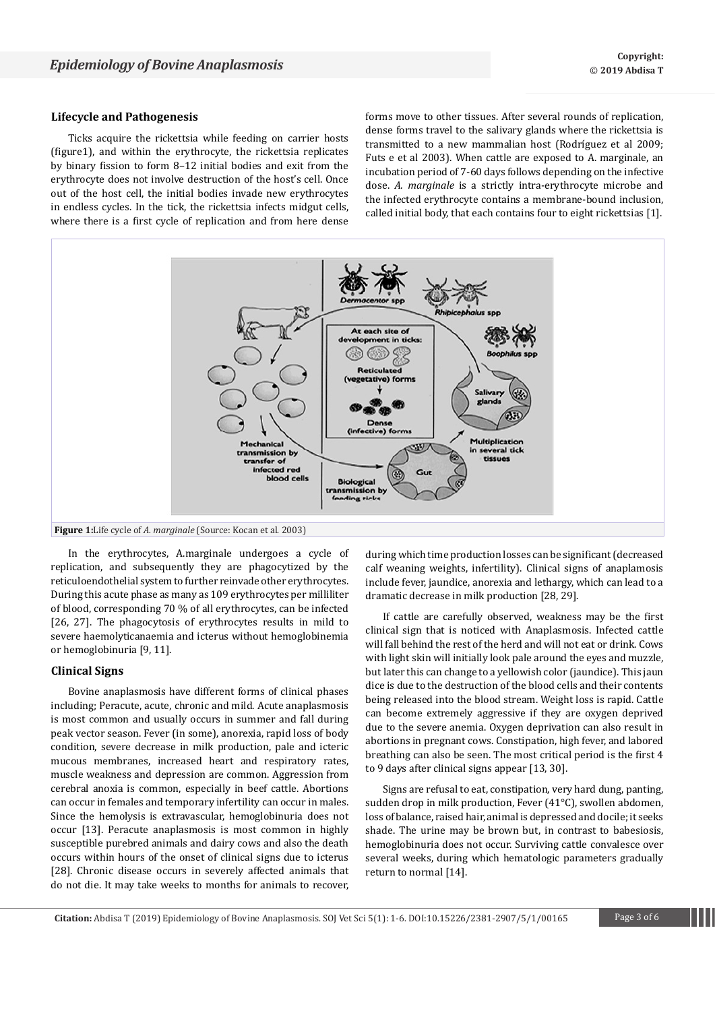## **Lifecycle and Pathogenesis**

Ticks acquire the rickettsia while feeding on carrier hosts (figure1), and within the erythrocyte, the rickettsia replicates by binary fission to form 8–12 initial bodies and exit from the erythrocyte does not involve destruction of the host's cell. Once out of the host cell, the initial bodies invade new erythrocytes in endless cycles. In the tick, the rickettsia infects midgut cells, where there is a first cycle of replication and from here dense

forms move to other tissues. After several rounds of replication, dense forms travel to the salivary glands where the rickettsia is transmitted to a new mammalian host (Rodríguez et al 2009; Futs e et al 2003). When cattle are exposed to A. marginale, an incubation period of 7-60 days follows depending on the infective dose. *A. marginale* is a strictly intra-erythrocyte microbe and the infected erythrocyte contains a membrane-bound inclusion, called initial body, that each contains four to eight rickettsias [1].



In the erythrocytes, A.marginale undergoes a cycle of replication, and subsequently they are phagocytized by the reticuloendothelial system to further reinvade other erythrocytes. During this acute phase as many as 109 erythrocytes per milliliter of blood, corresponding 70 % of all erythrocytes, can be infected [26, 27]. The phagocytosis of erythrocytes results in mild to severe haemolyticanaemia and icterus without hemoglobinemia or hemoglobinuria [9, 11].

### **Clinical Signs**

Bovine anaplasmosis have different forms of clinical phases including; Peracute, acute, chronic and mild. Acute anaplasmosis is most common and usually occurs in summer and fall during peak vector season. Fever (in some), anorexia, rapid loss of body condition, severe decrease in milk production, pale and icteric mucous membranes, increased heart and respiratory rates, muscle weakness and depression are common. Aggression from cerebral anoxia is common, especially in beef cattle. Abortions can occur in females and temporary infertility can occur in males. Since the hemolysis is extravascular, hemoglobinuria does not occur [13]. Peracute anaplasmosis is most common in highly susceptible purebred animals and dairy cows and also the death occurs within hours of the onset of clinical signs due to icterus [28]. Chronic disease occurs in severely affected animals that do not die. It may take weeks to months for animals to recover,

during which time production losses can be significant (decreased calf weaning weights, infertility). Clinical signs of anaplamosis include fever, jaundice, anorexia and lethargy, which can lead to a dramatic decrease in milk production [28, 29].

If cattle are carefully observed, weakness may be the first clinical sign that is noticed with Anaplasmosis. Infected cattle will fall behind the rest of the herd and will not eat or drink. Cows with light skin will initially look pale around the eyes and muzzle, but later this can change to a yellowish color (jaundice). This jaun dice is due to the destruction of the blood cells and their contents being released into the blood stream. Weight loss is rapid. Cattle can become extremely aggressive if they are oxygen deprived due to the severe anemia. Oxygen deprivation can also result in abortions in pregnant cows. Constipation, high fever, and labored breathing can also be seen. The most critical period is the first 4 to 9 days after clinical signs appear [13, 30].

Signs are refusal to eat, constipation, very hard dung, panting, sudden drop in milk production, Fever (41°C), swollen abdomen, loss of balance, raised hair, animal is depressed and docile; it seeks shade. The urine may be brown but, in contrast to babesiosis, hemoglobinuria does not occur. Surviving cattle convalesce over several weeks, during which hematologic parameters gradually return to normal [14].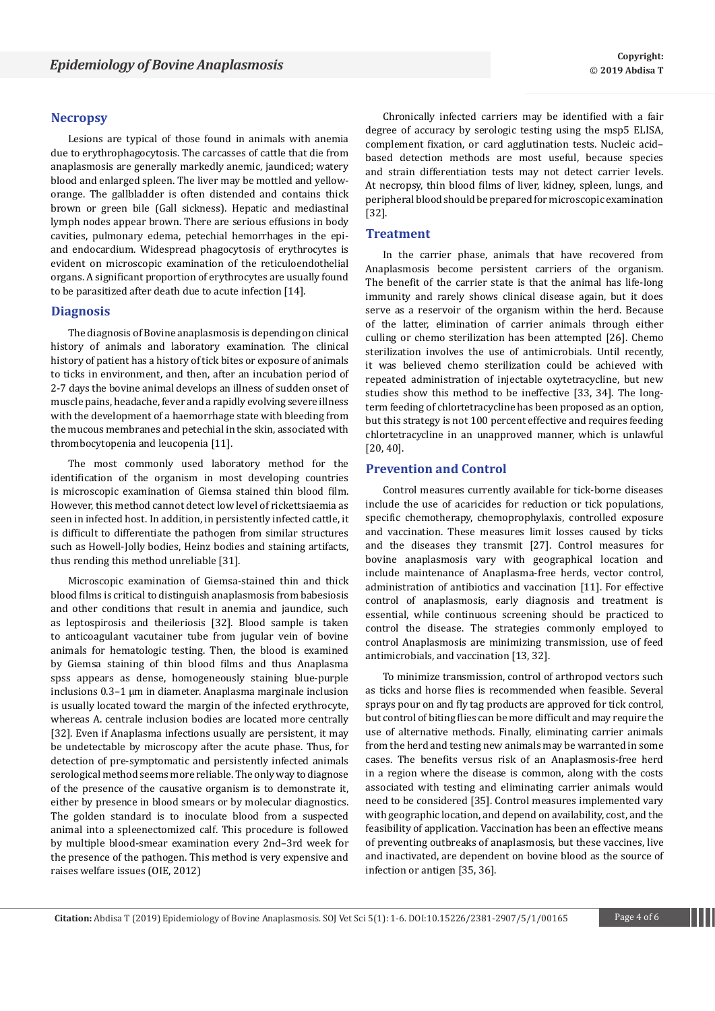#### **Necropsy**

Lesions are typical of those found in animals with anemia due to erythrophagocytosis. The carcasses of cattle that die from anaplasmosis are generally markedly anemic, jaundiced; watery blood and enlarged spleen. The liver may be mottled and yelloworange. The gallbladder is often distended and contains thick brown or green bile (Gall sickness). Hepatic and mediastinal lymph nodes appear brown. There are serious effusions in body cavities, pulmonary edema, petechial hemorrhages in the epiand endocardium. Widespread phagocytosis of erythrocytes is evident on microscopic examination of the reticuloendothelial organs. A significant proportion of erythrocytes are usually found to be parasitized after death due to acute infection [14].

#### **Diagnosis**

The diagnosis of Bovine anaplasmosis is depending on clinical history of animals and laboratory examination. The clinical history of patient has a history of tick bites or exposure of animals to ticks in environment, and then, after an incubation period of 2-7 days the bovine animal develops an illness of sudden onset of muscle pains, headache, fever and a rapidly evolving severe illness with the development of a haemorrhage state with bleeding from the mucous membranes and petechial in the skin, associated with thrombocytopenia and leucopenia [11].

The most commonly used laboratory method for the identification of the organism in most developing countries is microscopic examination of Giemsa stained thin blood film. However, this method cannot detect low level of rickettsiaemia as seen in infected host. In addition, in persistently infected cattle, it is difficult to differentiate the pathogen from similar structures such as Howell-Jolly bodies, Heinz bodies and staining artifacts, thus rending this method unreliable [31].

Microscopic examination of Giemsa-stained thin and thick blood films is critical to distinguish anaplasmosis from babesiosis and other conditions that result in anemia and jaundice, such as leptospirosis and theileriosis [32]. Blood sample is taken to anticoagulant vacutainer tube from jugular vein of bovine animals for hematologic testing. Then, the blood is examined by Giemsa staining of thin blood films and thus Anaplasma spss appears as dense, homogeneously staining blue-purple inclusions 0.3–1 μm in diameter. Anaplasma marginale inclusion is usually located toward the margin of the infected erythrocyte, whereas A. centrale inclusion bodies are located more centrally [32]. Even if Anaplasma infections usually are persistent, it may be undetectable by microscopy after the acute phase. Thus, for detection of pre-symptomatic and persistently infected animals serological method seems more reliable. The only way to diagnose of the presence of the causative organism is to demonstrate it, either by presence in blood smears or by molecular diagnostics. The golden standard is to inoculate blood from a suspected animal into a spleenectomized calf. This procedure is followed by multiple blood-smear examination every 2nd–3rd week for the presence of the pathogen. This method is very expensive and raises welfare issues (OIE, 2012)

Chronically infected carriers may be identified with a fair degree of accuracy by serologic testing using the msp5 ELISA, complement fixation, or card agglutination tests. Nucleic acid– based detection methods are most useful, because species and strain differentiation tests may not detect carrier levels. At necropsy, thin blood films of liver, kidney, spleen, lungs, and peripheral blood should be prepared for microscopic examination [32].

### **Treatment**

In the carrier phase, animals that have recovered from Anaplasmosis become persistent carriers of the organism. The benefit of the carrier state is that the animal has life-long immunity and rarely shows clinical disease again, but it does serve as a reservoir of the organism within the herd. Because of the latter, elimination of carrier animals through either culling or chemo sterilization has been attempted [26]. Chemo sterilization involves the use of antimicrobials. Until recently, it was believed chemo sterilization could be achieved with repeated administration of injectable oxytetracycline, but new studies show this method to be ineffective [33, 34]. The longterm feeding of chlortetracycline has been proposed as an option, but this strategy is not 100 percent effective and requires feeding chlortetracycline in an unapproved manner, which is unlawful [20, 40].

# **Prevention and Control**

Control measures currently available for tick-borne diseases include the use of acaricides for reduction or tick populations, specific chemotherapy, chemoprophylaxis, controlled exposure and vaccination. These measures limit losses caused by ticks and the diseases they transmit [27]. Control measures for bovine anaplasmosis vary with geographical location and include maintenance of Anaplasma-free herds, vector control, administration of antibiotics and vaccination [11]. For effective control of anaplasmosis, early diagnosis and treatment is essential, while continuous screening should be practiced to control the disease. The strategies commonly employed to control Anaplasmosis are minimizing transmission, use of feed antimicrobials, and vaccination [13, 32].

To minimize transmission, control of arthropod vectors such as ticks and horse flies is recommended when feasible. Several sprays pour on and fly tag products are approved for tick control, but control of biting flies can be more difficult and may require the use of alternative methods. Finally, eliminating carrier animals from the herd and testing new animals may be warranted in some cases. The benefits versus risk of an Anaplasmosis-free herd in a region where the disease is common, along with the costs associated with testing and eliminating carrier animals would need to be considered [35]. Control measures implemented vary with geographic location, and depend on availability, cost, and the feasibility of application. Vaccination has been an effective means of preventing outbreaks of anaplasmosis, but these vaccines, live and inactivated, are dependent on bovine blood as the source of infection or antigen [35, 36].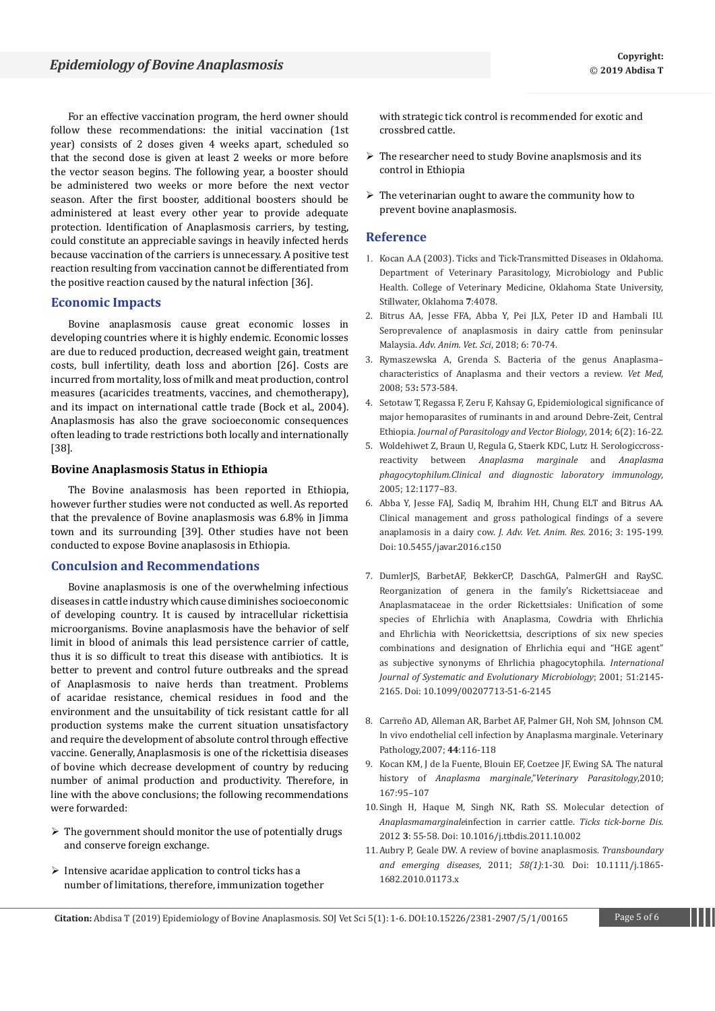For an effective vaccination program, the herd owner should follow these recommendations: the initial vaccination (1st year) consists of 2 doses given 4 weeks apart, scheduled so that the second dose is given at least 2 weeks or more before the vector season begins. The following year, a booster should be administered two weeks or more before the next vector season. After the first booster, additional boosters should be administered at least every other year to provide adequate protection. Identification of Anaplasmosis carriers, by testing, could constitute an appreciable savings in heavily infected herds because vaccination of the carriers is unnecessary. A positive test reaction resulting from vaccination cannot be differentiated from the positive reaction caused by the natural infection [36].

# **Economic Impacts**

Bovine anaplasmosis cause great economic losses in developing countries where it is highly endemic. Economic losses are due to reduced production, decreased weight gain, treatment costs, bull infertility, death loss and abortion [26]. Costs are incurred from mortality, loss of milk and meat production, control measures (acaricides treatments, vaccines, and chemotherapy), and its impact on international cattle trade (Bock et al., 2004). Anaplasmosis has also the grave socioeconomic consequences often leading to trade restrictions both locally and internationally [38].

## **Bovine Anaplasmosis Status in Ethiopia**

The Bovine analasmosis has been reported in Ethiopia, however further studies were not conducted as well. As reported that the prevalence of Bovine anaplasmosis was 6.8% in Jimma town and its surrounding [39]. Other studies have not been conducted to expose Bovine anaplasosis in Ethiopia.

# **Conculsion and Recommendations**

Bovine anaplasmosis is one of the overwhelming infectious diseases in cattle industry which cause diminishes socioeconomic of developing country. It is caused by intracellular rickettisia microorganisms. Bovine anaplasmosis have the behavior of self limit in blood of animals this lead persistence carrier of cattle, thus it is so difficult to treat this disease with antibiotics. It is better to prevent and control future outbreaks and the spread of Anaplasmosis to naive herds than treatment. Problems of acaridae resistance, chemical residues in food and the environment and the unsuitability of tick resistant cattle for all production systems make the current situation unsatisfactory and require the development of absolute control through effective vaccine. Generally, Anaplasmosis is one of the rickettisia diseases of bovine which decrease development of country by reducing number of animal production and productivity. Therefore, in line with the above conclusions; the following recommendations were forwarded:

- $\triangleright$  The government should monitor the use of potentially drugs and conserve foreign exchange.
- $\triangleright$  Intensive acaridae application to control ticks has a number of limitations, therefore, immunization together

with strategic tick control is recommended for exotic and crossbred cattle.

- $\triangleright$  The researcher need to study Bovine anaplsmosis and its control in Ethiopia
- $\triangleright$  The veterinarian ought to aware the community how to prevent bovine anaplasmosis.

## **Reference**

- 1. Kocan A.A (2003). Ticks and Tick-Transmitted Diseases in Oklahoma. Department of Veterinary Parasitology, Microbiology and Public Health. College of Veterinary Medicine, Oklahoma State University, Stillwater, Oklahoma **7**:4078.
- 2. [Bitrus AA, Jesse FFA, Abba Y, Pei JLX, Peter ID and Hambali IU.](http://nexusacademicpublishers.com/uploads/files/AAVS_6_2_70-74.pdf)  [Seroprevalence of anaplasmosis in dairy cattle from peninsular](http://nexusacademicpublishers.com/uploads/files/AAVS_6_2_70-74.pdf)  Malaysia. *[Adv. Anim. Vet. Sci](http://nexusacademicpublishers.com/uploads/files/AAVS_6_2_70-74.pdf)*, 2018; 6: 70-74.
- 3. [Rymaszewska A, Grenda S. Bacteria of the genus Anaplasma–](http://www.vri.cz/docs/vetmed/53-11-573.pdf) [characteristics of Anaplasma and their vectors a review.](http://www.vri.cz/docs/vetmed/53-11-573.pdf) *Vet Med*, 2008; 53**:** [573-584.](http://www.vri.cz/docs/vetmed/53-11-573.pdf)
- 4. [Setotaw T, Regassa F, Zeru F, Kahsay G, Epidemiological significance of](https://academicjournals.org/article/article1392277484_Sitotaw%20et%20al.pdf)  [major hemoparasites of ruminants in and around Debre-Zeit, Central](https://academicjournals.org/article/article1392277484_Sitotaw%20et%20al.pdf)  Ethiopia. *[Journal of Parasitology and Vector Biology](https://academicjournals.org/article/article1392277484_Sitotaw%20et%20al.pdf)*, 2014; 6(2): 16-22.
- 5. [Woldehiwet Z, Braun U, Regula G, Staerk KDC, Lutz H. Serologiccross](https://www.ncbi.nlm.nih.gov/pmc/articles/PMC1247822/)reactivity between *[Anaplasma marginale](https://www.ncbi.nlm.nih.gov/pmc/articles/PMC1247822/)* and *Anaplasma phagocytophilum*.*[Clinical and diagnostic laboratory immunology](https://www.ncbi.nlm.nih.gov/pmc/articles/PMC1247822/)*, [2005; 12:1177–83.](https://www.ncbi.nlm.nih.gov/pmc/articles/PMC1247822/)
- 6. [Abba Y, Jesse FAJ, Sadiq M, Ibrahim HH, Chung ELT and Bitrus AA.](http://www.scopemed.org/?mno=230854)  [Clinical management and gross pathological findings of a severe](http://www.scopemed.org/?mno=230854)  [anaplamosis in a dairy cow.](http://www.scopemed.org/?mno=230854) *J. Adv. Vet. Anim. Res.* 2016; 3: 195-199. Doi: [10.5455/javar.2016.c150](http://www.scopemed.org/?mno=230854)
- 7. [DumlerJS, BarbetAF, BekkerCP, DaschGA, PalmerGH](https://www.ncbi.nlm.nih.gov/pubmed/11760958) and RaySC. [Reorganization of genera in the family's Rickettsiaceae and](https://www.ncbi.nlm.nih.gov/pubmed/11760958)  [Anaplasmataceae in the order Rickettsiales: Unification of some](https://www.ncbi.nlm.nih.gov/pubmed/11760958)  [species of Ehrlichia with Anaplasma, Cowdria with Ehrlichia](https://www.ncbi.nlm.nih.gov/pubmed/11760958)  [and Ehrlichia with Neorickettsia, descriptions of six new species](https://www.ncbi.nlm.nih.gov/pubmed/11760958)  [combinations and designation of Ehrlichia equi and "HGE agent"](https://www.ncbi.nlm.nih.gov/pubmed/11760958)  [as subjective synonyms of Ehrlichia phagocytophila.](https://www.ncbi.nlm.nih.gov/pubmed/11760958) *International [Journal of Systematic and Evolutionary Microbiology](https://www.ncbi.nlm.nih.gov/pubmed/11760958)*; 2001; 51:2145- [2165. Doi: 10.1099/00207713-51-6-2145](https://www.ncbi.nlm.nih.gov/pubmed/11760958)
- 8. [Carreño AD, Alleman AR, Barbet AF, Palmer GH, Noh SM, Johnson CM.](https://pubag.nal.usda.gov/download/56739/PDF)  [In vivo endothelial cell infection by Anaplasma marginale. Veterinary](https://pubag.nal.usda.gov/download/56739/PDF)  [Pathology,2007;](https://pubag.nal.usda.gov/download/56739/PDF) **44**:116-118
- 9. Kocan KM, J de la Fuente, Blouin EF, Coetzee JF, Ewing SA. The natural history of *Anaplasma marginale*,"*Veterinary Parasitology*,2010; 167:95–107
- 10.[Singh H, Haque M, Singh NK, Rath SS. Molecular detection of](https://www.ncbi.nlm.nih.gov/pubmed/22309860)  *Anaplasmamarginale*[infection in carrier cattle.](https://www.ncbi.nlm.nih.gov/pubmed/22309860) *Ticks tick-borne Dis.* 2012 **3**[: 55-58. Doi: 10.1016/j.ttbdis.2011.10.002](https://www.ncbi.nlm.nih.gov/pubmed/22309860)
- 11.[Aubry P, Geale DW. A review of bovine anaplasmosis.](https://www.ncbi.nlm.nih.gov/pubmed/21040509) *Transboundary [and emerging diseases](https://www.ncbi.nlm.nih.gov/pubmed/21040509)*, 2011; *58(1)*:1-30. Doi: 10.1111/j.1865- [1682.2010.01173.x](https://www.ncbi.nlm.nih.gov/pubmed/21040509)